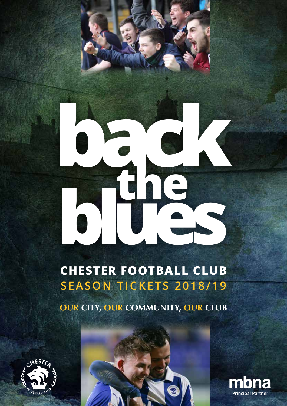# **back the blues**

# **CHESTER FOOTBALL CLUB SEASON TICKETS 2018/19**

**OUR CITY, OUR COMMUNITY, OUR CLUB**





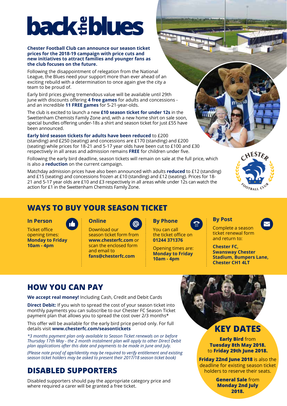# **back** ablues

### **Chester Football Club can announce our season ticket prices for the 2018-19 campaign with price cuts and new initiatives to attract families and younger fans as the club focuses on the future.**

Following the disappointment of relegation from the National League, the Blues need your support more than ever ahead of an exciting rebuild with a determination to once again give the city a team to be proud of.

Early bird prices giving tremendous value will be available until 29th June with discounts offering **4 free games** for adults and concessions and an incredible **11 FREE games** for 5-21-year-olds.

The club is excited to launch a new **£10 season ticket for under 12s** in the Swettenham Chemists Family Zone and, with a new home shirt on sale soon, special bundles offering under-18s a shirt and season ticket for just £55 have been announced.

**Early bird season tickets for adults have been reduced** to £200 (standing) and £250 (seating) and concessions are £170 (standing) and £200 (seating) while prices for 18-21 and 5-17 year olds have been cut to £100 and £30 respectively in all areas and admission remains **FREE** for children under five.

Following the early bird deadline, season tickets will remain on sale at the full price, which is also a **reduction** on the current campaign.

Matchday admission prices have also been announced with adults **reduced** to £12 (standing) and £15 (seating) and concessions frozen at £10 (standing) and £12 (seating). Prices for 18- 21 and 5-17 year olds are £10 and £3 respectively in all areas while under 12s can watch the action for £1 in the Swettenham Chemists Family Zone.



 $n<sub>1</sub>$ ia

# **WAYS TO BUY YOUR SEASON TICKET**

### **In Person**

Ticket office opening times: **Monday to Friday 10am - 4pm**

## **Online**

Download our season ticket form from **www.chesterfc.com** or scan the enclosed form and email to **fans@chesterfc.com**



**By Phone**

You can call the ticket office on **01244 371376**

Opening times are: **Monday to Friday 10am - 4pm**

### **By Post**

Complete a season ticket renewal form and return to:

**Chester FC, Swansway Chester Stadium, Bumpers Lane, Chester CH1 4LT**

# **HOW YOU CAN PAY**

**We accept real money!** Including Cash, Credit and Debit Cards

**Direct Debit:** If you wish to spread the cost of your season ticket into monthly payments you can subscribe to our Chester FC Season Ticket payment plan that allows you to spread the cost over 2/3 months\*

This offer will be available for the early bird price period only. For full details visit **www.chesterfc.com/seasontickets** 

*\*3 months payment plan only available to Season Ticket renewals on or before Thursday 17th May - the 2 month instalment plan will apply to other Direct Debit plan applications after this date and payments to be made in June and July.*

*(Please note proof of age/identity may be required to verify entitlement and existing season ticket holders may be asked to present their 2017/18 season ticket book)*

# **DISABLED SUPPORTERS**

Disabled supporters should pay the appropriate category price and where required a carer will be granted a free ticket.



### **Early Bird** from **Tuesday 8th May 2018.** to **Friday 29th June 2018.**

**Friday 22nd June 2018** is also the deadline for existing season ticket holders to reserve their seats.

> **General Sale** from **Monday 2nd July 2018.**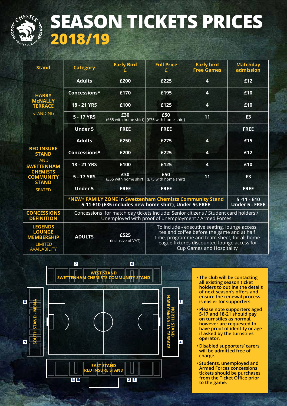

# **SEASON TICKETS PRICES 2018/19**

| <b>Stand</b>                                                                                                                                 | <b>Category</b>                                                                                                                                             | <b>Early Bird</b>          | <b>Full Price</b><br>£                                                                                                                                                                                                           | <b>Early bird</b><br><b>Free Games</b> | <b>Matchday</b><br>admission |  |  |  |
|----------------------------------------------------------------------------------------------------------------------------------------------|-------------------------------------------------------------------------------------------------------------------------------------------------------------|----------------------------|----------------------------------------------------------------------------------------------------------------------------------------------------------------------------------------------------------------------------------|----------------------------------------|------------------------------|--|--|--|
| <b>HARRY</b><br><b>MCNALLY</b><br><b>TERRACE</b><br><b>STANDING</b>                                                                          | <b>Adults</b>                                                                                                                                               | £200                       | £225                                                                                                                                                                                                                             | $\overline{\mathbf{4}}$                | £12                          |  |  |  |
|                                                                                                                                              | Concessions*                                                                                                                                                | £170                       | £195                                                                                                                                                                                                                             | $\overline{\mathbf{4}}$                | £10                          |  |  |  |
|                                                                                                                                              | <b>18 - 21 YRS</b>                                                                                                                                          | £100                       | £125                                                                                                                                                                                                                             | $\overline{\mathbf{4}}$                | £10                          |  |  |  |
|                                                                                                                                              | 5 - 17 YRS                                                                                                                                                  | £30                        | £50<br>(£55 with home shirt) (£75 with home shirt)                                                                                                                                                                               | 11                                     | £3                           |  |  |  |
|                                                                                                                                              | <b>Under 5</b>                                                                                                                                              | <b>FREE</b>                | <b>FREE</b>                                                                                                                                                                                                                      |                                        | <b>FREE</b>                  |  |  |  |
| <b>RED INSURE</b><br><b>STAND</b><br><b>AND</b><br><b>SWETTENHAM</b><br><b>CHEMISTS</b><br><b>COMMUNITY</b><br><b>STAND</b><br><b>SEATED</b> | <b>Adults</b>                                                                                                                                               | £250                       | £275                                                                                                                                                                                                                             | 4                                      | £15                          |  |  |  |
|                                                                                                                                              | Concessions*                                                                                                                                                | £200                       | £225                                                                                                                                                                                                                             | 4                                      | £12                          |  |  |  |
|                                                                                                                                              | 18 - 21 YRS                                                                                                                                                 | £100                       | £125                                                                                                                                                                                                                             | $\overline{4}$                         | £10                          |  |  |  |
|                                                                                                                                              | 5 - 17 YRS                                                                                                                                                  | £30                        | £50<br>(£55 with home shirt) (£75 with home shirt)                                                                                                                                                                               | 11                                     | £3                           |  |  |  |
|                                                                                                                                              | <b>Under 5</b>                                                                                                                                              | <b>FREE</b>                | <b>FREE</b>                                                                                                                                                                                                                      |                                        | <b>FREE</b>                  |  |  |  |
|                                                                                                                                              | *NEW* FAMILY ZONE in Swettenham Chemists Community Stand<br>$5 - 11 - 10$<br>5-11 £10 (£35 includes new home shirt), Under 5s FREE<br><b>Under 5 - FREE</b> |                            |                                                                                                                                                                                                                                  |                                        |                              |  |  |  |
| <b>CONCESSIONS</b><br><b>DEFINITION</b>                                                                                                      | Concessions for match day tickets include: Senior citizens / Student card holders /<br>Unemployed with proof of unemployment / Armed Forces                 |                            |                                                                                                                                                                                                                                  |                                        |                              |  |  |  |
| <b>LEGENDS</b><br><b>LOUNGE</b><br><b>MEMBERSHIP</b><br><b>LIMITED</b><br><b>AVAILABILITY</b>                                                | <b>ADULTS</b>                                                                                                                                               | £525<br>(inclusive of VAT) | To include - executive seating, lounge access,<br>tea and coffee before the game and at half<br>time, programme and team sheet, for all home<br>league fixtures discounted lounge access for<br><b>Cup Games and Hospitality</b> |                                        |                              |  |  |  |



- **• The club will be contacting all existing season ticket holders to outline the details of next season's offers and ensure the renewal process is easier for supporters.**
- **• Please note supporters aged 5-17 and 18-21 should pay on turnstiles as normal, however are requested to have proof of identity or age if asked by the turnstiles operator.**
- **• Disabled supporters' carers will be admitted free of charge.**
- **• Students, unemployed and Armed Forces concessions tickets should be purchases from the Ticket Office prior to the game.**